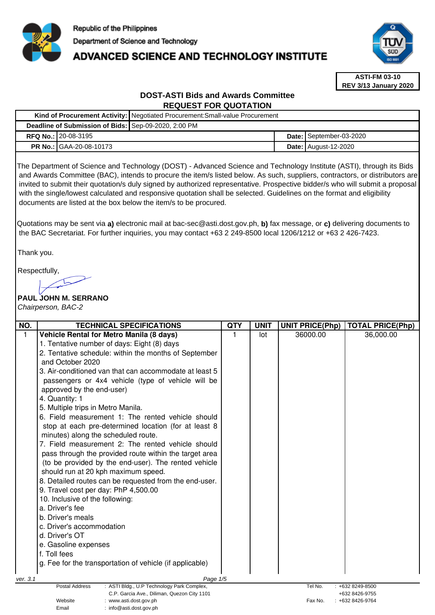

# **ADVANCED SCIENCE AND TECHNOLOGY INSTITUTE**



**ASTI-FM 03-10 REV 3/13 January 2020**

## **DOST-ASTI Bids and Awards Committee REQUEST FOR QUOTATION**

|                                                      | Kind of Procurement Activity:   Negotiated Procurement: Small-value Procurement |  |                               |  |  |
|------------------------------------------------------|---------------------------------------------------------------------------------|--|-------------------------------|--|--|
| Deadline of Submission of Bids: Sep-09-2020, 2:00 PM |                                                                                 |  |                               |  |  |
| <b>RFQ No.: 20-08-3195</b>                           |                                                                                 |  | Date: September-03-2020       |  |  |
| <b>PR No.: GAA-20-08-10173</b>                       |                                                                                 |  | <b>Date:   August-12-2020</b> |  |  |

The Department of Science and Technology (DOST) - Advanced Science and Technology Institute (ASTI), through its Bids and Awards Committee (BAC), intends to procure the item/s listed below. As such, suppliers, contractors, or distributors are invited to submit their quotation/s duly signed by authorized representative. Prospective bidder/s who will submit a proposal with the single/lowest calculated and responsive quotation shall be selected. Guidelines on the format and eligibility documents are listed at the box below the item/s to be procured.

Quotations may be sent via **a)** electronic mail at bac-sec@asti.dost.gov.ph, **b)** fax message, or **c)** delivering documents to the BAC Secretariat. For further inquiries, you may contact +63 2 249-8500 local 1206/1212 or +63 2 426-7423.

Thank you.

Respectfully, سسآ

# **PAUL JOHN M. SERRANO**

Email : info@asti.dost.gov.ph

Chairperson, BAC-2

| NO.                                                                                                | <b>TECHNICAL SPECIFICATIONS</b>                          | <b>QTY</b> | <b>UNIT</b> | <b>UNIT PRICE(Php)</b> | <b>TOTAL PRICE(Php)</b> |
|----------------------------------------------------------------------------------------------------|----------------------------------------------------------|------------|-------------|------------------------|-------------------------|
| 1                                                                                                  | Vehicle Rental for Metro Manila (8 days)                 |            | lot         | 36000.00               | 36,000.00               |
|                                                                                                    | 1. Tentative number of days: Eight (8) days              |            |             |                        |                         |
|                                                                                                    | 2. Tentative schedule: within the months of September    |            |             |                        |                         |
|                                                                                                    | and October 2020                                         |            |             |                        |                         |
|                                                                                                    | 3. Air-conditioned van that can accommodate at least 5   |            |             |                        |                         |
|                                                                                                    | passengers or 4x4 vehicle (type of vehicle will be       |            |             |                        |                         |
|                                                                                                    | approved by the end-user)                                |            |             |                        |                         |
|                                                                                                    | 4. Quantity: 1                                           |            |             |                        |                         |
|                                                                                                    | 5. Multiple trips in Metro Manila.                       |            |             |                        |                         |
|                                                                                                    | 6. Field measurement 1: The rented vehicle should        |            |             |                        |                         |
|                                                                                                    | stop at each pre-determined location (for at least 8     |            |             |                        |                         |
|                                                                                                    | minutes) along the scheduled route.                      |            |             |                        |                         |
|                                                                                                    | 7. Field measurement 2: The rented vehicle should        |            |             |                        |                         |
|                                                                                                    | pass through the provided route within the target area   |            |             |                        |                         |
|                                                                                                    | (to be provided by the end-user). The rented vehicle     |            |             |                        |                         |
|                                                                                                    | should run at 20 kph maximum speed.                      |            |             |                        |                         |
|                                                                                                    | 8. Detailed routes can be requested from the end-user.   |            |             |                        |                         |
|                                                                                                    | 9. Travel cost per day: PhP 4,500.00                     |            |             |                        |                         |
|                                                                                                    | 10. Inclusive of the following:                          |            |             |                        |                         |
|                                                                                                    | a. Driver's fee                                          |            |             |                        |                         |
|                                                                                                    | b. Driver's meals                                        |            |             |                        |                         |
|                                                                                                    | c. Driver's accommodation                                |            |             |                        |                         |
|                                                                                                    | d. Driver's OT                                           |            |             |                        |                         |
|                                                                                                    | e. Gasoline expenses                                     |            |             |                        |                         |
|                                                                                                    | f. Toll fees                                             |            |             |                        |                         |
|                                                                                                    | g. Fee for the transportation of vehicle (if applicable) |            |             |                        |                         |
| ver. 3.1                                                                                           | Page 1/5                                                 |            |             |                        |                         |
| <b>Postal Address</b><br>: ASTI Bldg., U.P Technology Park Complex,<br>Tel No.<br>: +632 8249-8500 |                                                          |            |             |                        |                         |
|                                                                                                    | C.P. Garcia Ave., Diliman, Quezon City 1101              |            |             |                        | +632 8426-9755          |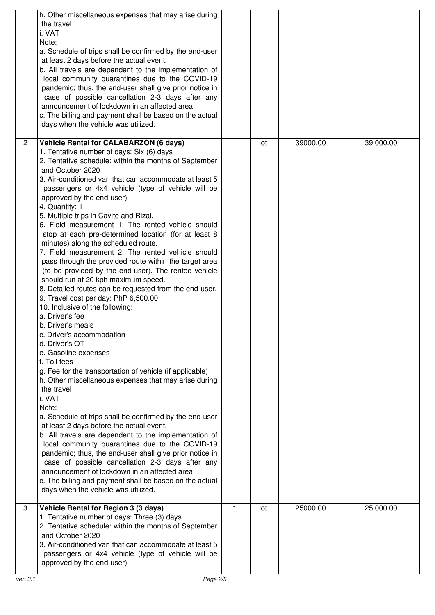|                | h. Other miscellaneous expenses that may arise during<br>the travel<br>i. VAT<br>Note:<br>a. Schedule of trips shall be confirmed by the end-user<br>at least 2 days before the actual event.<br>b. All travels are dependent to the implementation of<br>local community quarantines due to the COVID-19<br>pandemic; thus, the end-user shall give prior notice in<br>case of possible cancellation 2-3 days after any<br>announcement of lockdown in an affected area.<br>c. The billing and payment shall be based on the actual<br>days when the vehicle was utilized.                                                                                                                                                                                                                                                                                                                                                                                                                                                                                                                                                                                                                                                                                                                                                                                                                                                                                                                                                                                                                                                                                       |              |     |          |           |
|----------------|-------------------------------------------------------------------------------------------------------------------------------------------------------------------------------------------------------------------------------------------------------------------------------------------------------------------------------------------------------------------------------------------------------------------------------------------------------------------------------------------------------------------------------------------------------------------------------------------------------------------------------------------------------------------------------------------------------------------------------------------------------------------------------------------------------------------------------------------------------------------------------------------------------------------------------------------------------------------------------------------------------------------------------------------------------------------------------------------------------------------------------------------------------------------------------------------------------------------------------------------------------------------------------------------------------------------------------------------------------------------------------------------------------------------------------------------------------------------------------------------------------------------------------------------------------------------------------------------------------------------------------------------------------------------|--------------|-----|----------|-----------|
| $\overline{2}$ | <b>Vehicle Rental for CALABARZON (6 days)</b><br>1. Tentative number of days: Six (6) days<br>2. Tentative schedule: within the months of September<br>and October 2020<br>3. Air-conditioned van that can accommodate at least 5<br>passengers or 4x4 vehicle (type of vehicle will be<br>approved by the end-user)<br>4. Quantity: 1<br>5. Multiple trips in Cavite and Rizal.<br>6. Field measurement 1: The rented vehicle should<br>stop at each pre-determined location (for at least 8<br>minutes) along the scheduled route.<br>7. Field measurement 2: The rented vehicle should<br>pass through the provided route within the target area<br>(to be provided by the end-user). The rented vehicle<br>should run at 20 kph maximum speed.<br>8. Detailed routes can be requested from the end-user.<br>9. Travel cost per day: PhP 6,500.00<br>10. Inclusive of the following:<br>a. Driver's fee<br>b. Driver's meals<br>c. Driver's accommodation<br>d. Driver's OT<br>e. Gasoline expenses<br>f. Toll fees<br>g. Fee for the transportation of vehicle (if applicable)<br>h. Other miscellaneous expenses that may arise during<br>the travel<br>i. VAT<br>Note:<br>a. Schedule of trips shall be confirmed by the end-user<br>at least 2 days before the actual event.<br>b. All travels are dependent to the implementation of<br>local community quarantines due to the COVID-19<br>pandemic; thus, the end-user shall give prior notice in<br>case of possible cancellation 2-3 days after any<br>announcement of lockdown in an affected area.<br>c. The billing and payment shall be based on the actual<br>days when the vehicle was utilized. | $\mathbf{1}$ | lot | 39000.00 | 39,000.00 |
| 3<br>ver. 3.1  | Vehicle Rental for Region 3 (3 days)<br>1. Tentative number of days: Three (3) days<br>2. Tentative schedule: within the months of September<br>and October 2020<br>3. Air-conditioned van that can accommodate at least 5<br>passengers or 4x4 vehicle (type of vehicle will be<br>approved by the end-user)<br>Page 2/5                                                                                                                                                                                                                                                                                                                                                                                                                                                                                                                                                                                                                                                                                                                                                                                                                                                                                                                                                                                                                                                                                                                                                                                                                                                                                                                                         | 1            | lot | 25000.00 | 25,000.00 |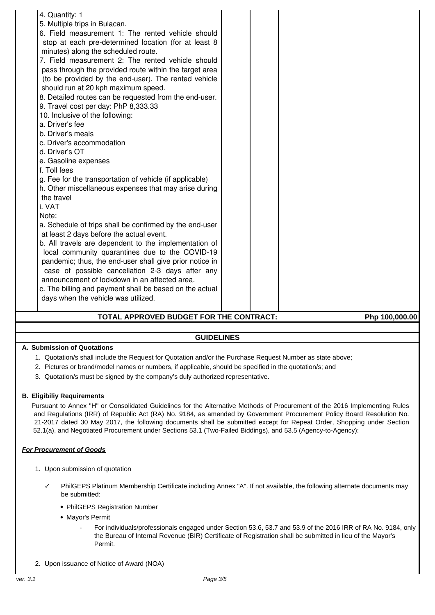# **TOTAL APPROVED BUDGET FOR THE CONTRACT: Php 100,000.00**

## **GUIDELINES**

## **A. Submission of Quotations**

- 1. Quotation/s shall include the Request for Quotation and/or the Purchase Request Number as state above;
- 2. Pictures or brand/model names or numbers, if applicable, should be specified in the quotation/s; and
- 3. Quotation/s must be signed by the company's duly authorized representative.

## **B. Eligibiliy Requirements**

Pursuant to Annex "H" or Consolidated Guidelines for the Alternative Methods of Procurement of the 2016 Implementing Rules and Regulations (IRR) of Republic Act (RA) No. 9184, as amended by Government Procurement Policy Board Resolution No. 21-2017 dated 30 May 2017, the following documents shall be submitted except for Repeat Order, Shopping under Section 52.1(a), and Negotiated Procurement under Sections 53.1 (Two-Failed Biddings), and 53.5 (Agency-to-Agency):

## **For Procurement of Goods**

- 1. Upon submission of quotation
	- PhilGEPS Platinum Membership Certificate including Annex "A". If not available, the following alternate documents may be submitted:
		- PhilGEPS Registration Number
		- Mayor's Permit
			- For individuals/professionals engaged under Section 53.6, 53.7 and 53.9 of the 2016 IRR of RA No. 9184, only the Bureau of Internal Revenue (BIR) Certificate of Registration shall be submitted in lieu of the Mayor's Permit.
- 2. Upon issuance of Notice of Award (NOA)